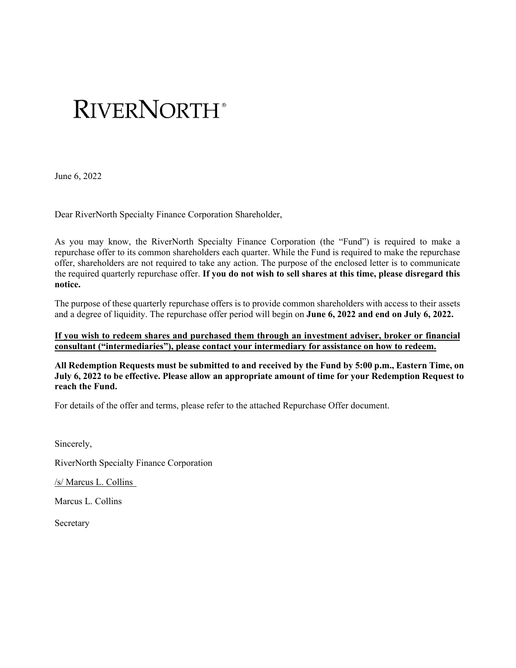# **RIVERNORTH**

June 6, 2022

Dear RiverNorth Specialty Finance Corporation Shareholder,

As you may know, the RiverNorth Specialty Finance Corporation (the "Fund") is required to make a repurchase offer to its common shareholders each quarter. While the Fund is required to make the repurchase offer, shareholders are not required to take any action. The purpose of the enclosed letter is to communicate the required quarterly repurchase offer. **If you do not wish to sell shares at this time, please disregard this notice.** 

The purpose of these quarterly repurchase offers is to provide common shareholders with access to their assets and a degree of liquidity. The repurchase offer period will begin on **June 6, 2022 and end on July 6, 2022.** 

**If you wish to redeem shares and purchased them through an investment adviser, broker or financial consultant ("intermediaries"), please contact your intermediary for assistance on how to redeem.** 

**All Redemption Requests must be submitted to and received by the Fund by 5:00 p.m., Eastern Time, on July 6, 2022 to be effective. Please allow an appropriate amount of time for your Redemption Request to reach the Fund.** 

For details of the offer and terms, please refer to the attached Repurchase Offer document.

Sincerely,

RiverNorth Specialty Finance Corporation

/s/ Marcus L. Collins

Marcus L. Collins

Secretary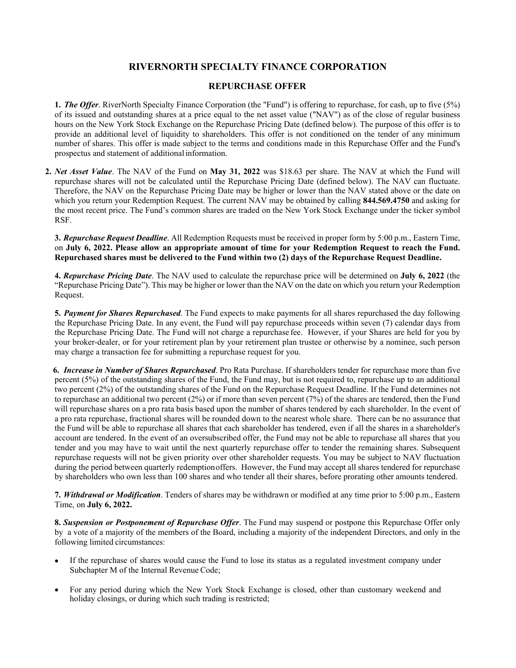# **RIVERNORTH SPECIALTY FINANCE CORPORATION**

### **REPURCHASE OFFER**

**1.** *The Offer*. RiverNorth Specialty Finance Corporation (the "Fund") is offering to repurchase, for cash, up to five (5%) of its issued and outstanding shares at a price equal to the net asset value ("NAV") as of the close of regular business hours on the New York Stock Exchange on the Repurchase Pricing Date (defined below). The purpose of this offer is to provide an additional level of liquidity to shareholders. This offer is not conditioned on the tender of any minimum number of shares. This offer is made subject to the terms and conditions made in this Repurchase Offer and the Fund's prospectus and statement of additional information.

**2.** *Net Asset Value*. The NAV of the Fund on **May 31, 2022** was \$18.63 per share. The NAV at which the Fund will repurchase shares will not be calculated until the Repurchase Pricing Date (defined below). The NAV can fluctuate. Therefore, the NAV on the Repurchase Pricing Date may be higher or lower than the NAV stated above or the date on which you return your Redemption Request. The current NAV may be obtained by calling **844.569.4750** and asking for the most recent price. The Fund's common shares are traded on the New York Stock Exchange under the ticker symbol RSF.

**3.** *Repurchase Request Deadline*. All Redemption Requests must be received in proper form by 5:00 p.m., Eastern Time, on **July 6, 2022. Please allow an appropriate amount of time for your Redemption Request to reach the Fund. Repurchased shares must be delivered to the Fund within two (2) days of the Repurchase Request Deadline.**

**4.** *Repurchase Pricing Date*. The NAV used to calculate the repurchase price will be determined on **July 6, 2022** (the "Repurchase Pricing Date"). This may be higher or lower than the NAV on the date on which you return your Redemption Request.

**5.** *Payment for Shares Repurchased*. The Fund expects to make payments for all shares repurchased the day following the Repurchase Pricing Date. In any event, the Fund will pay repurchase proceeds within seven (7) calendar days from the Repurchase Pricing Date. The Fund will not charge a repurchase fee. However, if your Shares are held for you by your broker-dealer, or for your retirement plan by your retirement plan trustee or otherwise by a nominee, such person may charge a transaction fee for submitting a repurchase request for you.

**6.** *Increase in Number of Shares Repurchased*. Pro Rata Purchase. If shareholders tender for repurchase more than five percent (5%) of the outstanding shares of the Fund, the Fund may, but is not required to, repurchase up to an additional two percent (2%) of the outstanding shares of the Fund on the Repurchase Request Deadline. If the Fund determines not to repurchase an additional two percent (2%) or if more than seven percent (7%) of the shares are tendered, then the Fund will repurchase shares on a pro rata basis based upon the number of shares tendered by each shareholder. In the event of a pro rata repurchase, fractional shares will be rounded down to the nearest whole share. There can be no assurance that the Fund will be able to repurchase all shares that each shareholder has tendered, even if all the shares in a shareholder's account are tendered. In the event of an oversubscribed offer, the Fund may not be able to repurchase all shares that you tender and you may have to wait until the next quarterly repurchase offer to tender the remaining shares. Subsequent repurchase requests will not be given priority over other shareholder requests. You may be subject to NAV fluctuation during the period between quarterly redemption offers. However, the Fund may accept all shares tendered for repurchase by shareholders who own less than 100 shares and who tender all their shares, before prorating other amounts tendered.

**7.** *Withdrawal or Modification*. Tenders of shares may be withdrawn or modified at any time prior to 5:00 p.m., Eastern Time, on **July 6, 2022.**

**8.** *Suspension or Postponement of Repurchase Offer*. The Fund may suspend or postpone this Repurchase Offer only by a vote of a majority of the members of the Board, including a majority of the independent Directors, and only in the following limited circumstances:

- If the repurchase of shares would cause the Fund to lose its status as a regulated investment company under Subchapter M of the Internal Revenue Code;
- For any period during which the New York Stock Exchange is closed, other than customary weekend and holiday closings, or during which such trading is restricted;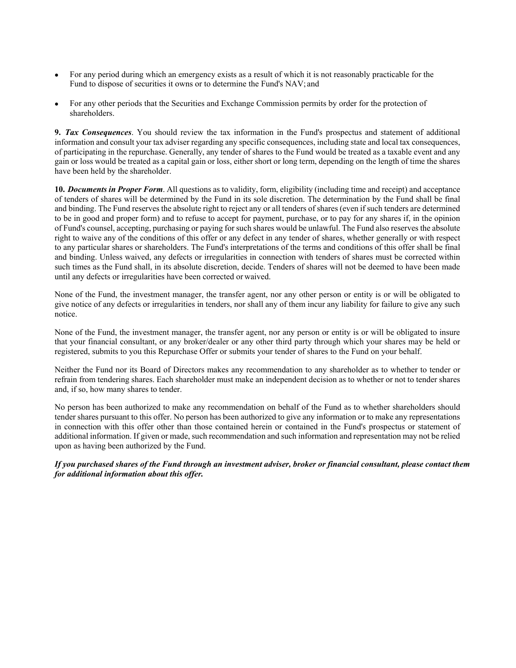- For any period during which an emergency exists as a result of which it is not reasonably practicable for the Fund to dispose of securities it owns or to determine the Fund's NAV; and
- For any other periods that the Securities and Exchange Commission permits by order for the protection of shareholders.

**9.** *Tax Consequences*. You should review the tax information in the Fund's prospectus and statement of additional information and consult your tax adviser regarding any specific consequences, including state and local tax consequences, of participating in the repurchase. Generally, any tender of shares to the Fund would be treated as a taxable event and any gain or loss would be treated as a capital gain or loss, either short or long term, depending on the length of time the shares have been held by the shareholder.

**10.** *Documents in Proper Form*. All questions as to validity, form, eligibility (including time and receipt) and acceptance of tenders of shares will be determined by the Fund in its sole discretion. The determination by the Fund shall be final and binding. The Fund reserves the absolute right to reject any or all tenders of shares (even if such tenders are determined to be in good and proper form) and to refuse to accept for payment, purchase, or to pay for any shares if, in the opinion of Fund's counsel, accepting, purchasing or paying for such shares would be unlawful. The Fund also reserves the absolute right to waive any of the conditions of this offer or any defect in any tender of shares, whether generally or with respect to any particular shares or shareholders. The Fund's interpretations of the terms and conditions of this offer shall be final and binding. Unless waived, any defects or irregularities in connection with tenders of shares must be corrected within such times as the Fund shall, in its absolute discretion, decide. Tenders of shares will not be deemed to have been made until any defects or irregularities have been corrected or waived.

None of the Fund, the investment manager, the transfer agent, nor any other person or entity is or will be obligated to give notice of any defects or irregularities in tenders, nor shall any of them incur any liability for failure to give any such notice.

None of the Fund, the investment manager, the transfer agent, nor any person or entity is or will be obligated to insure that your financial consultant, or any broker/dealer or any other third party through which your shares may be held or registered, submits to you this Repurchase Offer or submits your tender of shares to the Fund on your behalf.

Neither the Fund nor its Board of Directors makes any recommendation to any shareholder as to whether to tender or refrain from tendering shares. Each shareholder must make an independent decision as to whether or not to tender shares and, if so, how many shares to tender.

No person has been authorized to make any recommendation on behalf of the Fund as to whether shareholders should tender shares pursuant to this offer. No person has been authorized to give any information or to make any representations in connection with this offer other than those contained herein or contained in the Fund's prospectus or statement of additional information. If given or made, such recommendation and such information and representation may not be relied upon as having been authorized by the Fund.

*If you purchased shares of the Fund through an investment adviser, broker or financial consultant, please contact them for additional information about this offer.*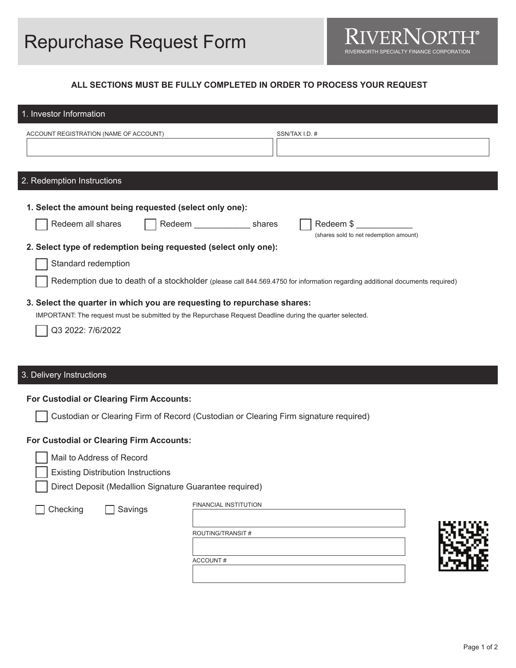## **ALL SECTIONS MUST BE FULLY COMPLETED IN ORDER TO PROCESS YOUR REQUEST**

| 1. Investor Information                                                                                                                                                                                                                                                |                                                                                                                                                                                                                                                                                                                                      |
|------------------------------------------------------------------------------------------------------------------------------------------------------------------------------------------------------------------------------------------------------------------------|--------------------------------------------------------------------------------------------------------------------------------------------------------------------------------------------------------------------------------------------------------------------------------------------------------------------------------------|
| ACCOUNT REGISTRATION (NAME OF ACCOUNT)                                                                                                                                                                                                                                 | SSN/TAX I.D. #                                                                                                                                                                                                                                                                                                                       |
| 2. Redemption Instructions                                                                                                                                                                                                                                             |                                                                                                                                                                                                                                                                                                                                      |
| 1. Select the amount being requested (select only one):<br>Redeem all shares<br>2. Select type of redemption being requested (select only one):<br>Standard redemption<br>3. Select the quarter in which you are requesting to repurchase shares:<br>Q3 2022: 7/6/2022 | Redeem ____________________ shares<br>Redeem \$<br>(shares sold to net redemption amount)<br>Redemption due to death of a stockholder (please call 844.569.4750 for information regarding additional documents required)<br>IMPORTANT: The request must be submitted by the Repurchase Request Deadline during the quarter selected. |
| 3. Delivery Instructions                                                                                                                                                                                                                                               |                                                                                                                                                                                                                                                                                                                                      |
| For Custodial or Clearing Firm Accounts:                                                                                                                                                                                                                               | Custodian or Clearing Firm of Record (Custodian or Clearing Firm signature required)                                                                                                                                                                                                                                                 |
| For Custodial or Clearing Firm Accounts:<br>Mail to Address of Record<br><b>Existing Distribution Instructions</b><br>Direct Deposit (Medallion Signature Guarantee required)                                                                                          |                                                                                                                                                                                                                                                                                                                                      |
| Checking<br>Savings                                                                                                                                                                                                                                                    | FINANCIAL INSTITUTION<br>ROUTING/TRANSIT#<br>ACCOUNT#                                                                                                                                                                                                                                                                                |